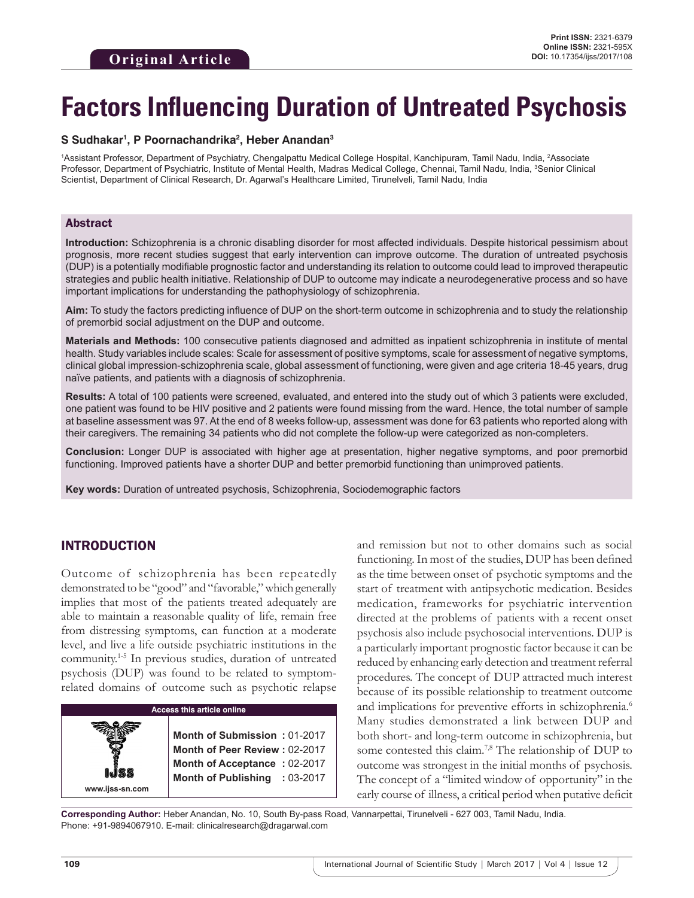# **Factors Influencing Duration of Untreated Psychosis**

#### **S Sudhakar1 , P Poornachandrika2 , Heber Anandan3**

1Assistant Professor, Department of Psychiatry, Chengalpattu Medical College Hospital, Kanchipuram, Tamil Nadu, India, <sup>2</sup>Associate Professor, Department of Psychiatric, Institute of Mental Health, Madras Medical College, Chennai, Tamil Nadu, India, <sup>3</sup>Senior Clinical Scientist, Department of Clinical Research, Dr. Agarwal's Healthcare Limited, Tirunelveli, Tamil Nadu, India

#### Abstract

**Introduction:** Schizophrenia is a chronic disabling disorder for most affected individuals. Despite historical pessimism about prognosis, more recent studies suggest that early intervention can improve outcome. The duration of untreated psychosis (DUP) is a potentially modifiable prognostic factor and understanding its relation to outcome could lead to improved therapeutic strategies and public health initiative. Relationship of DUP to outcome may indicate a neurodegenerative process and so have important implications for understanding the pathophysiology of schizophrenia.

**Aim:** To study the factors predicting influence of DUP on the short-term outcome in schizophrenia and to study the relationship of premorbid social adjustment on the DUP and outcome.

**Materials and Methods:** 100 consecutive patients diagnosed and admitted as inpatient schizophrenia in institute of mental health. Study variables include scales: Scale for assessment of positive symptoms, scale for assessment of negative symptoms, clinical global impression-schizophrenia scale, global assessment of functioning, were given and age criteria 18-45 years, drug naïve patients, and patients with a diagnosis of schizophrenia.

**Results:** A total of 100 patients were screened, evaluated, and entered into the study out of which 3 patients were excluded, one patient was found to be HIV positive and 2 patients were found missing from the ward. Hence, the total number of sample at baseline assessment was 97. At the end of 8 weeks follow-up, assessment was done for 63 patients who reported along with their caregivers. The remaining 34 patients who did not complete the follow-up were categorized as non-completers.

**Conclusion:** Longer DUP is associated with higher age at presentation, higher negative symptoms, and poor premorbid functioning. Improved patients have a shorter DUP and better premorbid functioning than unimproved patients.

**Key words:** Duration of untreated psychosis, Schizophrenia, Sociodemographic factors

# INTRODUCTION

Outcome of schizophrenia has been repeatedly demonstrated to be "good" and "favorable," which generally implies that most of the patients treated adequately are able to maintain a reasonable quality of life, remain free from distressing symptoms, can function at a moderate level, and live a life outside psychiatric institutions in the community.1-5 In previous studies, duration of untreated psychosis (DUP) was found to be related to symptomrelated domains of outcome such as psychotic relapse

| <b>Access this article online</b> |                                                                                                                                |  |  |  |  |
|-----------------------------------|--------------------------------------------------------------------------------------------------------------------------------|--|--|--|--|
| www.ijss-sn.com                   | Month of Submission: 01-2017<br>Month of Peer Review: 02-2017<br>Month of Acceptance: 02-2017<br>Month of Publishing : 03-2017 |  |  |  |  |

and remission but not to other domains such as social functioning. In most of the studies, DUP has been defined as the time between onset of psychotic symptoms and the start of treatment with antipsychotic medication. Besides medication, frameworks for psychiatric intervention directed at the problems of patients with a recent onset psychosis also include psychosocial interventions. DUP is a particularly important prognostic factor because it can be reduced by enhancing early detection and treatment referral procedures. The concept of DUP attracted much interest because of its possible relationship to treatment outcome and implications for preventive efforts in schizophrenia.<sup>6</sup> Many studies demonstrated a link between DUP and both short- and long-term outcome in schizophrenia, but some contested this claim.<sup>7,8</sup> The relationship of DUP to outcome was strongest in the initial months of psychosis. The concept of a "limited window of opportunity" in the early course of illness, a critical period when putative deficit

**Corresponding Author:** Heber Anandan, No. 10, South By-pass Road, Vannarpettai, Tirunelveli - 627 003, Tamil Nadu, India. Phone: +91-9894067910. E-mail: clinicalresearch@dragarwal.com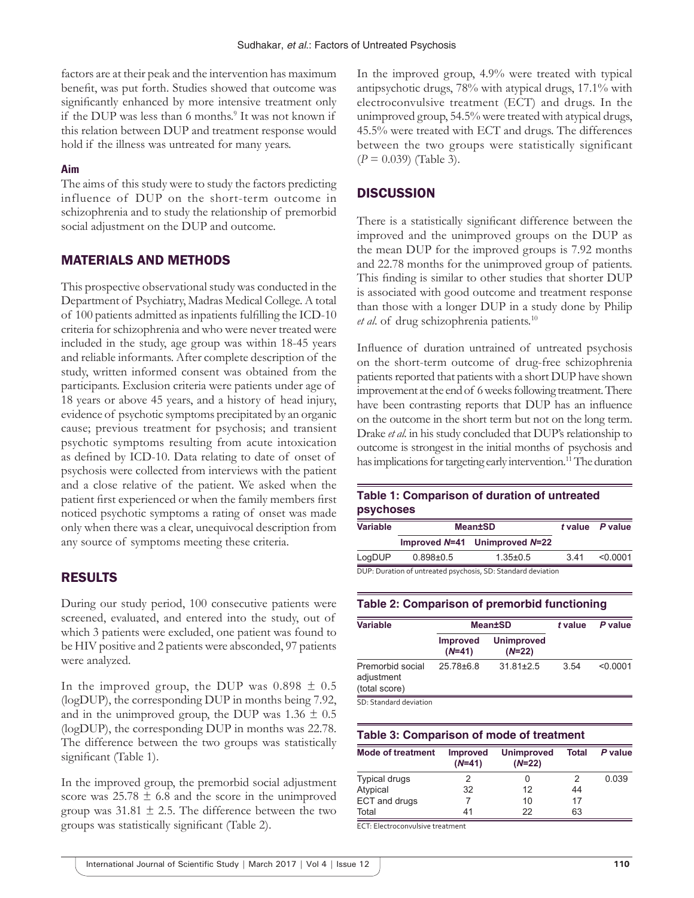factors are at their peak and the intervention has maximum benefit, was put forth. Studies showed that outcome was significantly enhanced by more intensive treatment only if the DUP was less than 6 months.<sup>9</sup> It was not known if this relation between DUP and treatment response would hold if the illness was untreated for many years.

#### **Aim**

The aims of this study were to study the factors predicting influence of DUP on the short-term outcome in schizophrenia and to study the relationship of premorbid social adjustment on the DUP and outcome.

## MATERIALS AND METHODS

This prospective observational study was conducted in the Department of Psychiatry, Madras Medical College. A total of 100 patients admitted as inpatients fulfilling the ICD-10 criteria for schizophrenia and who were never treated were included in the study, age group was within 18-45 years and reliable informants. After complete description of the study, written informed consent was obtained from the participants. Exclusion criteria were patients under age of 18 years or above 45 years, and a history of head injury, evidence of psychotic symptoms precipitated by an organic cause; previous treatment for psychosis; and transient psychotic symptoms resulting from acute intoxication as defined by ICD-10. Data relating to date of onset of psychosis were collected from interviews with the patient and a close relative of the patient. We asked when the patient first experienced or when the family members first noticed psychotic symptoms a rating of onset was made only when there was a clear, unequivocal description from any source of symptoms meeting these criteria.

## RESULTS

During our study period, 100 consecutive patients were screened, evaluated, and entered into the study, out of which 3 patients were excluded, one patient was found to be HIV positive and 2 patients were absconded, 97 patients were analyzed.

In the improved group, the DUP was  $0.898 \pm 0.5$ (logDUP), the corresponding DUP in months being 7.92, and in the unimproved group, the DUP was  $1.36 \pm 0.5$ (logDUP), the corresponding DUP in months was 22.78. The difference between the two groups was statistically significant (Table 1).

In the improved group, the premorbid social adjustment score was  $25.78 \pm 6.8$  and the score in the unimproved group was  $31.81 \pm 2.5$ . The difference between the two groups was statistically significant (Table 2).

In the improved group, 4.9% were treated with typical antipsychotic drugs, 78% with atypical drugs, 17.1% with electroconvulsive treatment (ECT) and drugs. In the unimproved group, 54.5% were treated with atypical drugs, 45.5% were treated with ECT and drugs. The differences between the two groups were statistically significant (*P* = 0.039) (Table 3).

## **DISCUSSION**

There is a statistically significant difference between the improved and the unimproved groups on the DUP as the mean DUP for the improved groups is 7.92 months and 22.78 months for the unimproved group of patients. This finding is similar to other studies that shorter DUP is associated with good outcome and treatment response than those with a longer DUP in a study done by Philip *et al*. of drug schizophrenia patients.10

Influence of duration untrained of untreated psychosis on the short-term outcome of drug-free schizophrenia patients reported that patients with a short DUP have shown improvement at the end of 6weeks following treatment. There have been contrasting reports that DUP has an influence on the outcome in the short term but not on the long term. Drake *et al*. in his study concluded that DUP's relationship to outcome is strongest in the initial months of psychosis and has implications for targeting early intervention.<sup>11</sup> The duration

# **Table 1: Comparison of duration of untreated psychoses**

| <b>Variable</b> | <b>Mean±SD</b>  |                                                              | t value P value |          |
|-----------------|-----------------|--------------------------------------------------------------|-----------------|----------|
|                 |                 | Improved $N=41$ Unimproved $N=22$                            |                 |          |
| LogDUP          | $0.898 \pm 0.5$ | $1.35 \pm 0.5$                                               | 341             | < 0.0001 |
|                 |                 | DUP: Duration of untreated psychosis, SD: Standard deviation |                 |          |

DUP: Duration of untreated psychosis, SD: Standard deviation

#### **Table 2: Comparison of premorbid functioning**

| <b>Variable</b>                                 | <b>Mean±SD</b>              |                               | t value | P value  |
|-------------------------------------------------|-----------------------------|-------------------------------|---------|----------|
|                                                 | <b>Improved</b><br>$(N=41)$ | <b>Unimproved</b><br>$(N=22)$ |         |          |
| Premorbid social<br>adjustment<br>(total score) | $25.78\pm 6.8$              | $31.81 \pm 2.5$               | 3.54    | < 0.0001 |
| SD: Standard deviation                          |                             |                               |         |          |

## **Table 3: Comparison of mode of treatment**

| <b>Mode of treatment</b> | <b>Improved</b><br>$(N=41)$ | <b>Unimproved</b><br>$(N=22)$ | <b>Total</b> | P value |
|--------------------------|-----------------------------|-------------------------------|--------------|---------|
| <b>Typical drugs</b>     |                             | 0                             |              | 0.039   |
| Atypical                 | 32                          | 12                            | 44           |         |
| ECT and drugs            |                             | 10                            | 17           |         |
| Total                    | 41                          | 22                            | 63           |         |

ECT: Electroconvulsive treatment